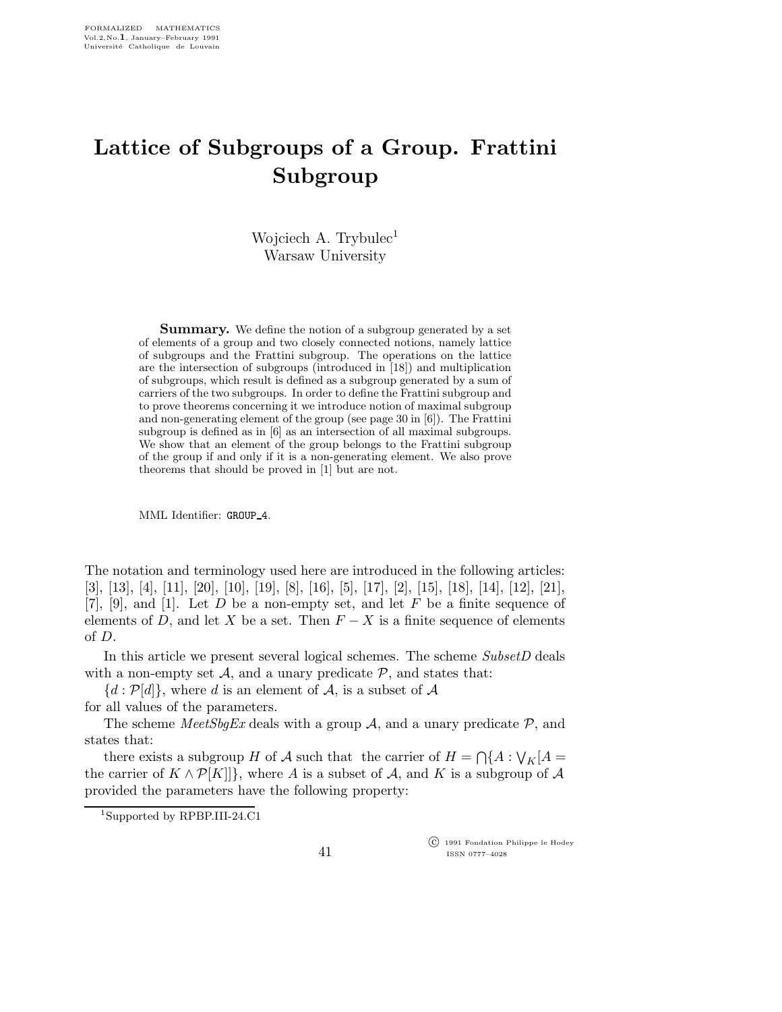## Lattice of Subgroups of a Group. Frattini Subgroup

Wojciech A. Trybulec<sup>1</sup> Warsaw University

**Summary.** We define the notion of a subgroup generated by a set of elements of a group and two closely connected notions, namely lattice of subgroups and the Frattini subgroup. The operations on the lattice are the intersection of subgroups (introduced in [18]) and multiplication of subgroups, which result is defined as a subgroup generated by a sum of carriers of the two subgroups. In order to define the Frattini subgroup and to prove theorems concerning it we introduce notion of maximal subgroup and non-generating element of the group (see page 30 in [6]). The Frattini subgroup is defined as in [6] as an intersection of all maximal subgroups. We show that an element of the group belongs to the Frattini subgroup of the group if and only if it is a non-generating element. We also prove theorems that should be proved in [1] but are not.

MML Identifier: GROUP\_4.

The notation and terminology used here are introduced in the following articles: [3], [13], [4], [11], [20], [10], [19], [8], [16], [5], [17], [2], [15], [18], [14], [12], [21], [7], [9], and [1]. Let D be a non-empty set, and let F be a finite sequence of elements of D, and let X be a set. Then  $F - X$  is a finite sequence of elements of D.

In this article we present several logical schemes. The scheme SubsetD deals with a non-empty set  $A$ , and a unary predicate  $P$ , and states that:

 ${d : \mathcal{P}[d]},$  where d is an element of A, is a subset of A

for all values of the parameters.

The scheme *MeetSbgEx* deals with a group A, and a unary predicate  $P$ , and states that:

there exists a subgroup H of A such that the carrier of  $H = \bigcap \{A : \bigvee_K [A = \bigvee \{A\} \mid A\}]$ the carrier of  $K \wedge \mathcal{P}[K]]$ , where A is a subset of A, and K is a subgroup of A provided the parameters have the following property:

 c 1991 Fondation Philippe le Hodey ISSN 0777–4028

<sup>1</sup>Supported by RPBP.III-24.C1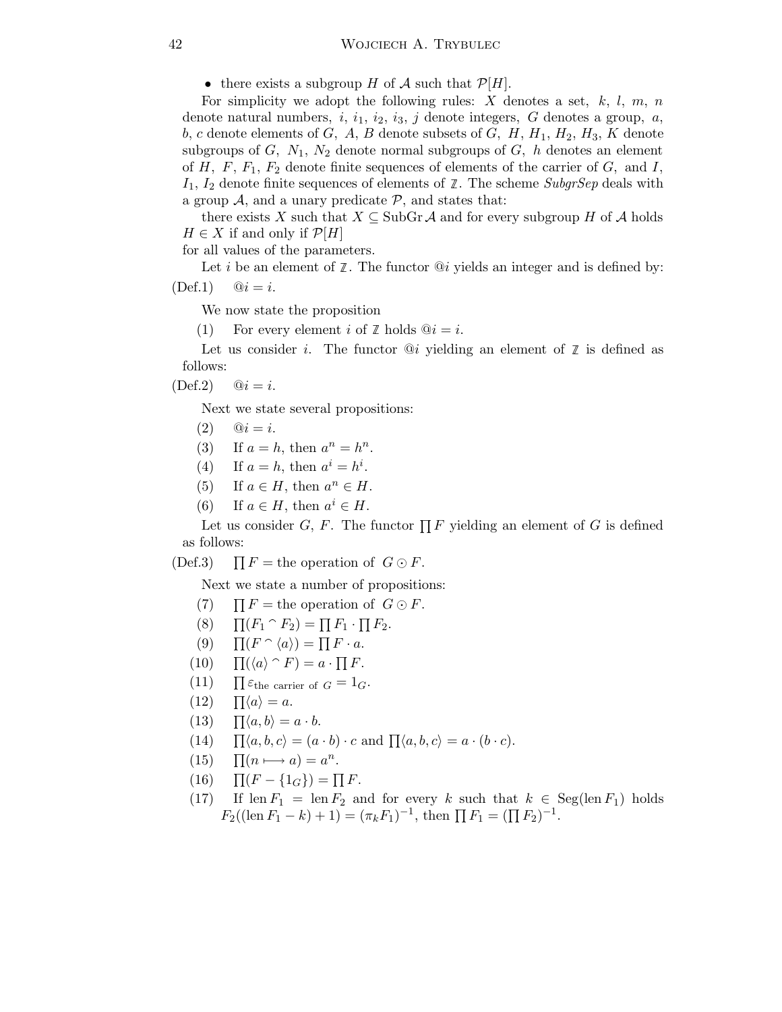• there exists a subgroup H of A such that  $\mathcal{P}[H]$ .

For simplicity we adopt the following rules: X denotes a set,  $k, l, m, n$ denote natural numbers,  $i, i_1, i_2, i_3, j$  denote integers, G denotes a group, a, b, c denote elements of G, A, B denote subsets of G, H,  $H_1$ ,  $H_2$ ,  $H_3$ , K denote subgroups of G,  $N_1$ ,  $N_2$  denote normal subgroups of G, h denotes an element of  $H$ ,  $F$ ,  $F_1$ ,  $F_2$  denote finite sequences of elements of the carrier of  $G$ , and  $I$ ,  $I_1$ ,  $I_2$  denote finite sequences of elements of  $\mathbb{Z}$ . The scheme SubgrSep deals with a group  $A$ , and a unary predicate  $P$ , and states that:

there exists X such that  $X \subseteq SubGr \mathcal{A}$  and for every subgroup H of A holds  $H \in X$  if and only if  $\mathcal{P}[H]$ 

for all values of the parameters.

Let *i* be an element of  $\mathbb{Z}$ . The functor  $\mathbb{Q}i$  yields an integer and is defined by:  $(\text{Def.1})$   $\mathbb{Q}i = i.$ 

We now state the proposition

(1) For every element i of  $\mathbb Z$  holds  $@i = i$ .

Let us consider *i*. The functor  $@i$  yielding an element of  $\mathbb{Z}$  is defined as follows:

 $(\text{Def.2})$   $\textcircled{a} i = i.$ 

Next we state several propositions:

(2)  $\mathbb{Q} i = i.$ 

(3) If  $a = h$ , then  $a^n = h^n$ .

- (4) If  $a = h$ , then  $a^i = h^i$ .
- (5) If  $a \in H$ , then  $a^n \in H$ .
- (6) If  $a \in H$ , then  $a^i \in H$ .

Let us consider  $G, F$ . The functor  $\prod F$  yielding an element of G is defined as follows:

 $(Def.3)$  $\prod F$  = the operation of  $G \odot F$ .

Next we state a number of propositions:

- $(7)$  $\prod F$  = the operation of  $G \odot F$ .
- $(8)$  $(F_1 \cap F_2) = \prod F_1 \cdot \prod F_2.$
- $(9)$  $(F \cap \langle a \rangle) = \prod F \cdot a.$
- $(10)$  $(\langle a \rangle \cap F) = a \cdot \prod F.$
- $(11)$  $\prod \varepsilon_{\text{the carrier of }G} = 1_G.$
- $(12)$  $\Pi \langle a \rangle = a.$
- $(13)$  $\prod \langle a, b \rangle = a \cdot b.$
- $(14)$  $\langle a, b, c \rangle = (a \cdot b) \cdot c$  and  $\prod \langle a, b, c \rangle = a \cdot (b \cdot c)$ .
- $(15)$  $(n \rightarrow a) = a^n$ .
- $(16)$  $(F - \{1_G\}) = \prod F.$
- (17) If len  $F_1 = \text{len } F_2$  and for every k such that  $k \in \text{Seg}(\text{len } F_1)$  holds  $F_2((\text{len } F_1 - k) + 1) = (\pi_k F_1)^{-1}, \text{ then } \prod F_1 = (\prod F_2)^{-1}.$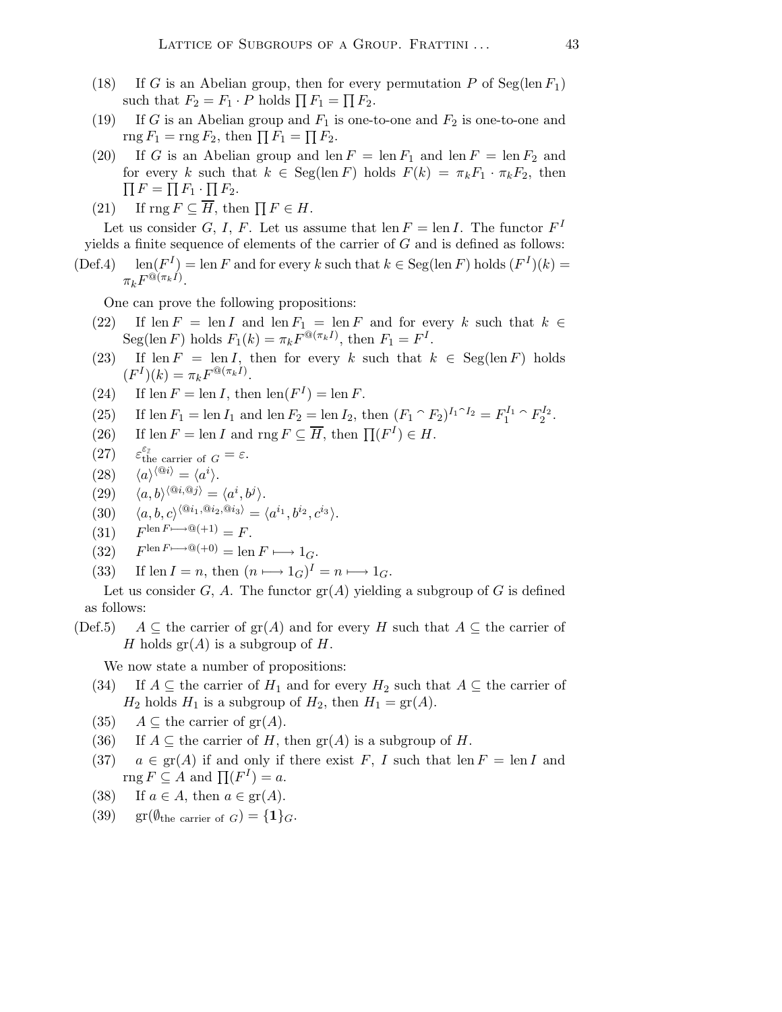- (18) If G is an Abelian group, then for every permutation P of Seg(len  $F_1$ ) such that  $F_2 = F_1 \cdot P$  holds  $\prod F_1 = \prod F_2$ .
- (19) If G is an Abelian group and  $F_1$  is one-to-one and  $F_2$  is one-to-one and  $\operatorname{rng} F_1 = \operatorname{rng} F_2$ , then  $\prod F_1 = \prod F_2$ .
- (20) If G is an Abelian group and len  $F = \text{len } F_1$  and len  $F = \text{len } F_2$  and for every k such that  $k \in \text{Seg}(\text{len } F)$  holds  $F(k) = \pi_k F_1 \cdot \pi_k F_2$ , then  $\prod F = \prod F_1 \cdot \prod F_2.$
- (21) If  $\text{rng } F \subseteq H$ , then  $\prod F \in H$ .

Let us consider G, I, F. Let us assume that  $\text{len } F = \text{len } I$ . The functor  $F^I$ yields a finite sequence of elements of the carrier of  $G$  and is defined as follows:

 $(Def.4)$  $I$ ) = len F and for every k such that  $k \in \text{Seg}(\text{len } F)$  holds  $(F^{I})(k)$  =  $\pi_k F^{\mathbb{Q}(\pi_k I)}.$ 

One can prove the following propositions:

- (22) If len  $F = \text{len } I$  and len  $F_1 = \text{len } F$  and for every k such that  $k \in$ Seg(len F) holds  $F_1(k) = \pi_k F^{\mathcal{Q}(\pi_k I)}$ , then  $F_1 = F^I$ .
- (23) If len  $F = \text{len } I$ , then for every k such that  $k \in \text{Seg}(\text{len } F)$  holds  $(F^{I})(k) = \pi_{k} F^{\text{@}(\pi_{k}I)}.$
- (24) If  $\text{len } F = \text{len } I$ , then  $\text{len}(F^I) = \text{len } F$ .
- (25) If len  $F_1 = \text{len } I_1$  and len  $F_2 = \text{len } I_2$ , then  $(F_1 \cap F_2)^{I_1 \cap I_2} = F_1^{I_1}$  $F_1^{I_1} \cap F_2^{I_2}$  $\frac{1}{2}^{2}$ .
- (26) If len  $F = \text{len } I$  and  $\text{rng } F \subseteq \overline{H}$ , then  $\prod (F^I) \in H$ .
- $(27)$  $\varepsilon_{\mathbb{Z}}$ <br>the carrier of  $G = \varepsilon$ .
- $(28)$  $\langle {}^{\textcircled{\scriptsize a}}i\rangle = \langle a^i\rangle.$
- (29)  $\langle a, b \rangle^{\langle @i, @j \rangle} = \langle a^i, b^j \rangle.$
- (30)  $\langle a, b, c \rangle^{\langle @i_1, @i_2, @i_3 \rangle} = \langle a^{i_1}, b^{i_2}, c^{i_3} \rangle.$
- $(31)$  $F^{\text{len } F \longmapsto \mathbb{Q}(+1)} = F.$
- $(32)$  $F^{\text{len } F \longmapsto \mathbb{Q}(+0)} = \text{len } F \longmapsto 1_G.$
- (33) If len  $I = n$ , then  $(n \mapsto 1_G)^I = n \mapsto 1_G$ .

Let us consider G, A. The functor  $\text{gr}(A)$  yielding a subgroup of G is defined as follows:

(Def.5)  $A \subseteq$  the carrier of  $\text{gr}(A)$  and for every H such that  $A \subseteq$  the carrier of H holds  $gr(A)$  is a subgroup of H.

We now state a number of propositions:

- (34) If  $A \subseteq$  the carrier of  $H_1$  and for every  $H_2$  such that  $A \subseteq$  the carrier of  $H_2$  holds  $H_1$  is a subgroup of  $H_2$ , then  $H_1 = \text{gr}(A)$ .
- (35)  $A \subseteq$  the carrier of  $gr(A)$ .
- (36) If  $A \subseteq$  the carrier of H, then  $\text{gr}(A)$  is a subgroup of H.
- (37)  $a \in \text{gr}(A)$  if and only if there exist F, I such that len  $F = \text{len } I$  and rng  $F \subseteq A$  and  $\prod (F^I) = a$ .
- (38) If  $a \in A$ , then  $a \in \text{gr}(A)$ .
- (39)  $\operatorname{gr}(\emptyset_{\text{the carrier of }G}) = \{1\}_G.$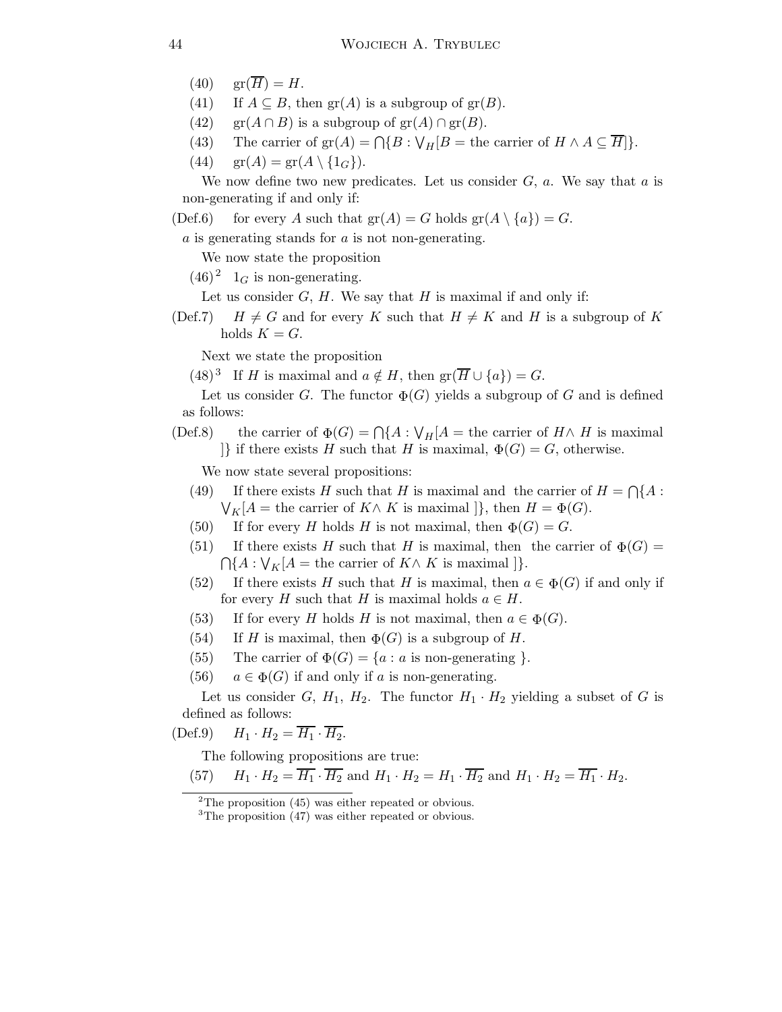- (40)  $\operatorname{gr}(\overline{H}) = H$ .
- (41) If  $A \subseteq B$ , then  $\text{gr}(A)$  is a subgroup of  $\text{gr}(B)$ .
- (42) gr( $A \cap B$ ) is a subgroup of gr( $A$ )  $\cap$  gr( $B$ ).
- (43) The carrier of  $\text{gr}(A) = \bigcap \{ B : \bigvee_H [B = \text{the carrier of } H \land A \subseteq H] \}.$
- (44)  $\operatorname{gr}(A) = \operatorname{gr}(A \setminus \{1_G\}).$

We now define two new predicates. Let us consider  $G$ ,  $a$ . We say that  $a$  is non-generating if and only if:

(Def.6) for every A such that  $gr(A) = G$  holds  $gr(A \setminus \{a\}) = G$ .

 $a$  is generating stands for  $a$  is not non-generating.

We now state the proposition

 $(46)^2$  1<sub>G</sub> is non-generating.

Let us consider  $G$ ,  $H$ . We say that  $H$  is maximal if and only if:

(Def.7)  $H \neq G$  and for every K such that  $H \neq K$  and H is a subgroup of K holds  $K = G$ .

Next we state the proposition

 $(48)^3$  If H is maximal and  $a \notin H$ , then  $\text{gr}(\overline{H} \cup \{a\}) = G$ .

Let us consider G. The functor  $\Phi(G)$  yields a subgroup of G and is defined as follows:

## (Def.8) the carrier of  $\Phi(G) = \bigcap \{A : \bigvee_H[A = \text{the carrier of } H \wedge H \text{ is maximal}\}\$  $\{\}$  if there exists H such that H is maximal,  $\Phi(G) = G$ , otherwise.

We now state several propositions:

- (49) If there exists H such that H is maximal and the carrier of  $H = \bigcap \{A :$  $\bigvee_K [A = \text{the carrier of } K \wedge K \text{ is maximal }]\}, \text{ then } H = \Phi(G).$
- (50) If for every H holds H is not maximal, then  $\Phi(G) = G$ .
- (51) If there exists H such that H is maximal, then the carrier of  $\Phi(G)$  =  $\bigcap \{A : \bigvee_K [A = \text{the carrier of } K \wedge K \text{ is maximal }]\}.$
- (52) If there exists H such that H is maximal, then  $a \in \Phi(G)$  if and only if for every H such that H is maximal holds  $a \in H$ .
- (53) If for every H holds H is not maximal, then  $a \in \Phi(G)$ .
- (54) If H is maximal, then  $\Phi(G)$  is a subgroup of H.
- (55) The carrier of  $\Phi(G) = \{a : a \text{ is non-generating } \}.$
- (56)  $a \in \Phi(G)$  if and only if a is non-generating.

Let us consider G,  $H_1$ ,  $H_2$ . The functor  $H_1 \cdot H_2$  yielding a subset of G is defined as follows:

 $(\text{Def.9})$   $H_1 \cdot H_2 = \overline{H_1} \cdot \overline{H_2}.$ 

The following propositions are true:

(57)  $H_1 \cdot H_2 = \overline{H_1} \cdot \overline{H_2}$  and  $H_1 \cdot H_2 = H_1 \cdot \overline{H_2}$  and  $H_1 \cdot H_2 = \overline{H_1} \cdot H_2$ .

 $2$ The proposition (45) was either repeated or obvious.

<sup>&</sup>lt;sup>3</sup>The proposition (47) was either repeated or obvious.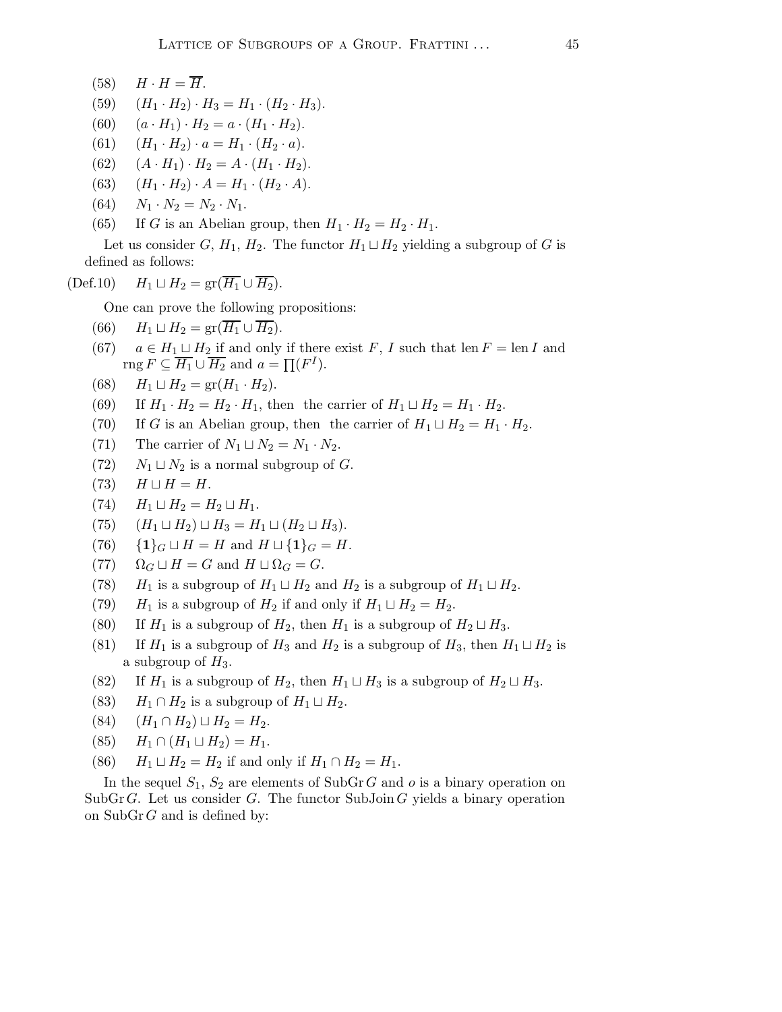- $(58)$   $H \cdot H = \overline{H}$ .
- (59)  $(H_1 \cdot H_2) \cdot H_3 = H_1 \cdot (H_2 \cdot H_3).$
- (60)  $(a \cdot H_1) \cdot H_2 = a \cdot (H_1 \cdot H_2).$
- (61)  $(H_1 \cdot H_2) \cdot a = H_1 \cdot (H_2 \cdot a).$
- (62)  $(A \cdot H_1) \cdot H_2 = A \cdot (H_1 \cdot H_2).$
- (63)  $(H_1 \cdot H_2) \cdot A = H_1 \cdot (H_2 \cdot A).$
- (64)  $N_1 \cdot N_2 = N_2 \cdot N_1$ .
- (65) If G is an Abelian group, then  $H_1 \cdot H_2 = H_2 \cdot H_1$ .

Let us consider G,  $H_1$ ,  $H_2$ . The functor  $H_1 \sqcup H_2$  yielding a subgroup of G is defined as follows:

(Def.10)  $H_1 \sqcup H_2 = \text{gr}(\overline{H_1} \cup \overline{H_2}).$ 

One can prove the following propositions:

- (66)  $H_1 \sqcup H_2 = \text{gr}(\overline{H_1} \cup \overline{H_2}).$
- (67)  $a \in H_1 \sqcup H_2$  if and only if there exist F, I such that len  $F = \text{len } I$  and rng  $F \subseteq \overline{H_1} \cup \overline{H_2}$  and  $a = \prod (F^I)$ .
- (68)  $H_1 \sqcup H_2 = \text{gr}(H_1 \cdot H_2).$
- (69) If  $H_1 \cdot H_2 = H_2 \cdot H_1$ , then the carrier of  $H_1 \sqcup H_2 = H_1 \cdot H_2$ .
- (70) If G is an Abelian group, then the carrier of  $H_1 \sqcup H_2 = H_1 \cdot H_2$ .
- (71) The carrier of  $N_1 \sqcup N_2 = N_1 \cdot N_2$ .
- (72)  $N_1 \sqcup N_2$  is a normal subgroup of G.
- (73)  $H \sqcup H = H$ .
- $(H_1 \sqcup H_2 = H_2 \sqcup H_1$ .
- (75)  $(H_1 \sqcup H_2) \sqcup H_3 = H_1 \sqcup (H_2 \sqcup H_3).$
- (76) {1}<sub>G</sub>  $\sqcup H = H$  and  $H \sqcup \{1\}_G = H$ .
- (77)  $\Omega_G \sqcup H = G$  and  $H \sqcup \Omega_G = G$ .
- (78)  $H_1$  is a subgroup of  $H_1 \sqcup H_2$  and  $H_2$  is a subgroup of  $H_1 \sqcup H_2$ .
- (79)  $H_1$  is a subgroup of  $H_2$  if and only if  $H_1 \sqcup H_2 = H_2$ .
- (80) If  $H_1$  is a subgroup of  $H_2$ , then  $H_1$  is a subgroup of  $H_2 \sqcup H_3$ .
- (81) If  $H_1$  is a subgroup of  $H_3$  and  $H_2$  is a subgroup of  $H_3$ , then  $H_1 \sqcup H_2$  is a subgroup of  $H_3$ .
- (82) If  $H_1$  is a subgroup of  $H_2$ , then  $H_1 \sqcup H_3$  is a subgroup of  $H_2 \sqcup H_3$ .
- (83)  $H_1 \cap H_2$  is a subgroup of  $H_1 \sqcup H_2$ .
- (84)  $(H_1 \cap H_2) \sqcup H_2 = H_2.$
- (85)  $H_1 \cap (H_1 \sqcup H_2) = H_1.$
- (86)  $H_1 \sqcup H_2 = H_2$  if and only if  $H_1 \cap H_2 = H_1$ .

In the sequel  $S_1$ ,  $S_2$  are elements of SubGrG and o is a binary operation on SubGrG. Let us consider G. The functor SubJoin G yields a binary operation on  $\text{SubGr }G$  and is defined by: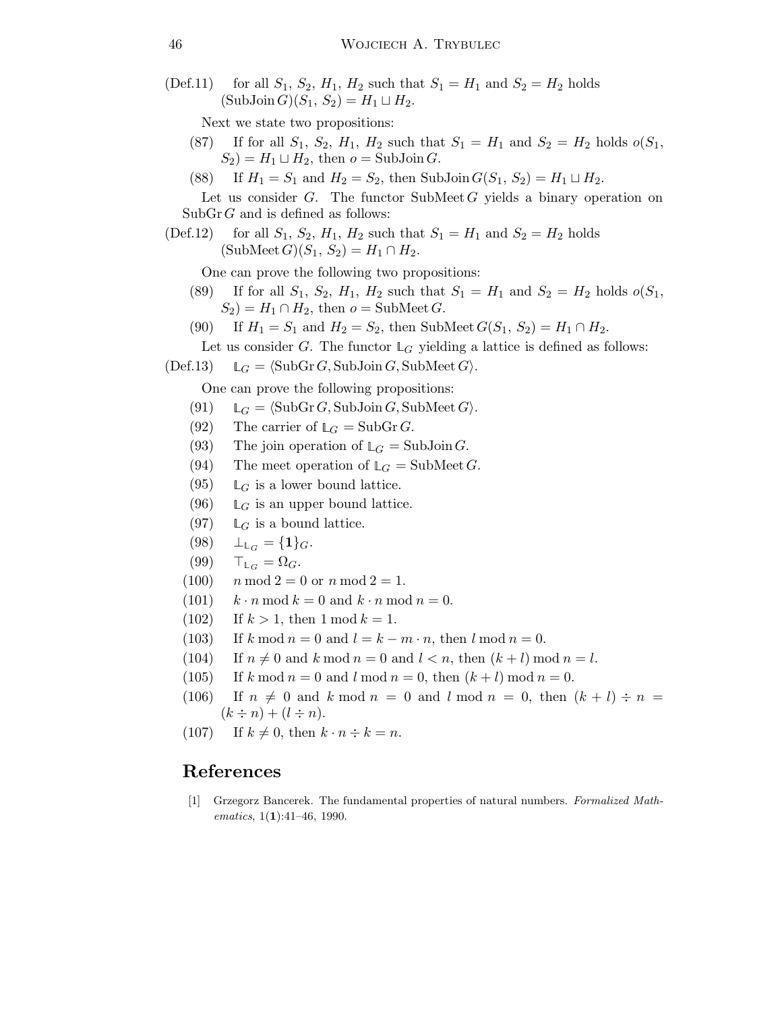(Def.11) for all  $S_1$ ,  $S_2$ ,  $H_1$ ,  $H_2$  such that  $S_1 = H_1$  and  $S_2 = H_2$  holds  $(SubJoin G)(S_1, S_2) = H_1 \sqcup H_2.$ 

Next we state two propositions:

- (87) If for all  $S_1$ ,  $S_2$ ,  $H_1$ ,  $H_2$  such that  $S_1 = H_1$  and  $S_2 = H_2$  holds  $o(S_1)$ ,  $S_2$ ) =  $H_1 \sqcup H_2$ , then  $o =$  SubJoin G.
- (88) If  $H_1 = S_1$  and  $H_2 = S_2$ , then SubJoin  $G(S_1, S_2) = H_1 \sqcup H_2$ .

Let us consider  $G$ . The functor SubMeet  $G$  yields a binary operation on  $\text{SubGr }G$  and is defined as follows:

(Def.12) for all  $S_1$ ,  $S_2$ ,  $H_1$ ,  $H_2$  such that  $S_1 = H_1$  and  $S_2 = H_2$  holds  $(SubMeet G)(S_1, S_2) = H_1 \cap H_2.$ 

One can prove the following two propositions:

- (89) If for all  $S_1$ ,  $S_2$ ,  $H_1$ ,  $H_2$  such that  $S_1 = H_1$  and  $S_2 = H_2$  holds  $o(S_1)$ ,  $S_2$ ) =  $H_1 \cap H_2$ , then  $o =$  SubMeet G.
- (90) If  $H_1 = S_1$  and  $H_2 = S_2$ , then SubMeet  $G(S_1, S_2) = H_1 \cap H_2$ .

Let us consider G. The functor  $\mathbb{L}_G$  yielding a lattice is defined as follows:

 $(Def.13) \qquad \mathbb{L}_G = \langle \text{SubGr } G, \text{SubJoin } G, \text{SubMeet } G \rangle.$ 

One can prove the following propositions:

- (91)  $\mathbb{L}_G = \langle \text{SubGr } G, \text{SubJoin } G, \text{SubMeet } G \rangle.$
- (92) The carrier of  $L_G = SubGr G$ .
- (93) The join operation of  $\mathbb{L}_G = \text{SubJoin } G$ .
- (94) The meet operation of  $\mathbb{L}_G = \text{SubMeet } G$ .
- (95)  $\mathbb{L}_G$  is a lower bound lattice.
- (96)  $\mathbb{L}_G$  is an upper bound lattice.
- (97)  $\mathbb{L}_G$  is a bound lattice.
- $(98)$  $\perp_{\mathbb{L}_G} = \{1\}_G.$
- $(99)$  $\top_{\mathbb{L}_G} = \Omega_G.$
- $(100)$  n mod  $2 = 0$  or n mod  $2 = 1$ .
- (101)  $k \cdot n \mod k = 0$  and  $k \cdot n \mod n = 0$ .
- (102) If  $k > 1$ , then  $1 \mod k = 1$ .
- (103) If k mod  $n = 0$  and  $l = k m \cdot n$ , then  $l \mod n = 0$ .
- (104) If  $n \neq 0$  and k mod  $n = 0$  and  $l < n$ , then  $(k + l)$  mod  $n = l$ .
- (105) If k mod  $n = 0$  and l mod  $n = 0$ , then  $(k + l)$  mod  $n = 0$ .
- (106) If  $n \neq 0$  and k mod  $n = 0$  and l mod  $n = 0$ , then  $(k + l) \div n =$  $(k \div n) + (l \div n).$
- (107) If  $k \neq 0$ , then  $k \cdot n \div k = n$ .

## References

[1] Grzegorz Bancerek. The fundamental properties of natural numbers. Formalized Mathematics,  $1(1):41-46$ , 1990.